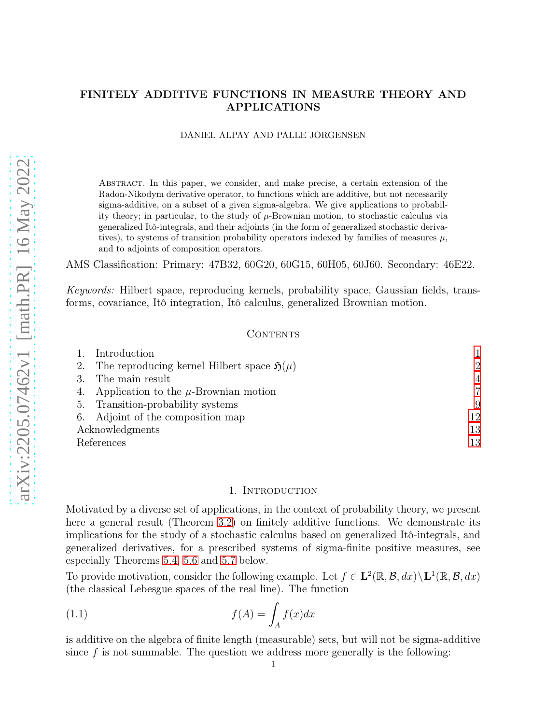# FINITELY ADDITIVE FUNCTIONS IN MEASURE THEORY AND APPLICATIONS

#### DANIEL ALPAY AND PALLE JORGENSEN

Abstract. In this paper, we consider, and make precise, a certain extension of the Radon-Nikodym derivative operator, to functions which are additive, but not necessarily sigma-additive, on a subset of a given sigma-algebra. We give applications to probability theory; in particular, to the study of  $\mu$ -Brownian motion, to stochastic calculus via generalized Itô-integrals, and their adjoints (in the form of generalized stochastic derivatives), to systems of transition probability operators indexed by families of measures  $\mu$ , and to adjoints of composition operators.

AMS Classification: Primary: 47B32, 60G20, 60G15, 60H05, 60J60. Secondary: 46E22.

Keywords: Hilbert space, reproducing kernels, probability space, Gaussian fields, transforms, covariance, Itô integration, Itô calculus, generalized Brownian motion.

### CONTENTS

|                 | Introduction                                             |    |
|-----------------|----------------------------------------------------------|----|
| 2.              | The reproducing kernel Hilbert space $\mathfrak{H}(\mu)$ | 2  |
|                 | The main result                                          | 4  |
| 4.              | Application to the $\mu$ -Brownian motion                |    |
| 5.              | Transition-probability systems                           | 9  |
|                 | 6. Adjoint of the composition map                        | 12 |
| Acknowledgments |                                                          | 13 |
| References      |                                                          | 13 |

#### 1. INTRODUCTION

<span id="page-0-0"></span>Motivated by a diverse set of applications, in the context of probability theory, we present here a general result (Theorem [3.2\)](#page-3-1) on finitely additive functions. We demonstrate its implications for the study of a stochastic calculus based on generalized Itô-integrals, and generalized derivatives, for a prescribed systems of sigma-finite positive measures, see especially Theorems [5.4,](#page-10-0) [5.6](#page-10-1) and [5.7](#page-10-2) below.

To provide motivation, consider the following example. Let  $f \in L^2(\mathbb{R}, \mathcal{B}, dx) \setminus L^1(\mathbb{R}, \mathcal{B}, dx)$ (the classical Lebesgue spaces of the real line). The function

(1.1) 
$$
f(A) = \int_A f(x)dx
$$

is additive on the algebra of finite length (measurable) sets, but will not be sigma-additive since  $f$  is not summable. The question we address more generally is the following: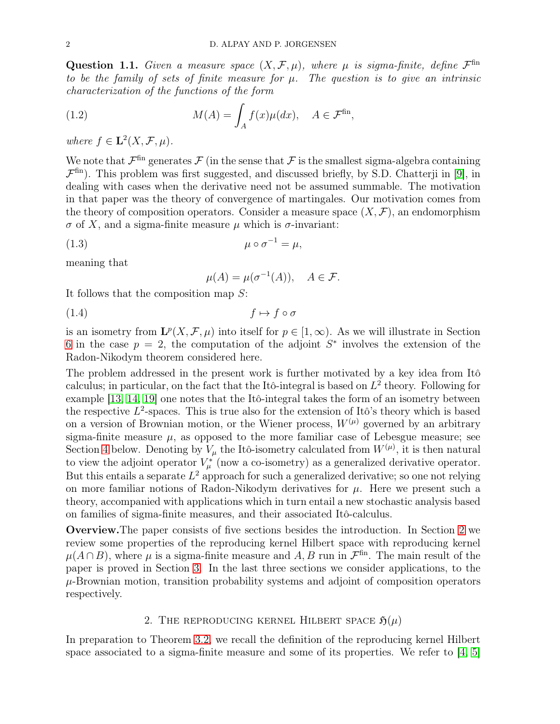Question 1.1. Given a measure space  $(X, \mathcal{F}, \mu)$ , where  $\mu$  is sigma-finite, define  $\mathcal{F}^{\text{fin}}$ to be the family of sets of finite measure for  $\mu$ . The question is to give an intrinsic characterization of the functions of the form

<span id="page-1-1"></span>(1.2) 
$$
M(A) = \int_A f(x) \mu(dx), \quad A \in \mathcal{F}^{\text{fin}},
$$

where  $f \in \mathbf{L}^2(X, \mathcal{F}, \mu)$ .

We note that  $\mathcal{F}^{\text{fin}}$  generates  $\mathcal{F}$  (in the sense that  $\mathcal{F}$  is the smallest sigma-algebra containing  $\mathcal{F}^{\text{fin}}$ ). This problem was first suggested, and discussed briefly, by S.D. Chatterji in [\[9\]](#page-13-0), in dealing with cases when the derivative need not be assumed summable. The motivation in that paper was the theory of convergence of martingales. Our motivation comes from the theory of composition operators. Consider a measure space  $(X, \mathcal{F})$ , an endomorphism  $\sigma$  of X, and a sigma-finite measure  $\mu$  which is  $\sigma$ -invariant:

$$
\mu \circ \sigma^{-1} = \mu,
$$

meaning that

<span id="page-1-3"></span><span id="page-1-2"></span>
$$
\mu(A) = \mu(\sigma^{-1}(A)), \quad A \in \mathcal{F}.
$$

It follows that the composition map S:

$$
(1.4) \t\t f \mapsto f \circ \sigma
$$

is an isometry from  $\mathbf{L}^p(X,\mathcal{F},\mu)$  into itself for  $p\in[1,\infty)$ . As we will illustrate in Section [6](#page-11-0) in the case  $p = 2$ , the computation of the adjoint  $S^*$  involves the extension of the Radon-Nikodym theorem considered here.

The problem addressed in the present work is further motivated by a key idea from Itô calculus; in particular, on the fact that the Itô-integral is based on  $L^2$  theory. Following for example [\[13,](#page-13-1) [14,](#page-13-2) [19\]](#page-13-3) one notes that the Itô-integral takes the form of an isometry between the respective  $L^2$ -spaces. This is true also for the extension of Itô's theory which is based on a version of Brownian motion, or the Wiener process,  $W^{(\mu)}$  governed by an arbitrary sigma-finite measure  $\mu$ , as opposed to the more familiar case of Lebesgue measure; see Section [4](#page-6-0) below. Denoting by  $V_{\mu}$  the Itô-isometry calculated from  $W^{(\mu)}$ , it is then natural to view the adjoint operator  $V^*_{\mu}$  (now a co-isometry) as a generalized derivative operator. But this entails a separate  $L^2$  approach for such a generalized derivative; so one not relying on more familiar notions of Radon-Nikodym derivatives for  $\mu$ . Here we present such a theory, accompanied with applications which in turn entail a new stochastic analysis based on families of sigma-finite measures, and their associated Itô-calculus.

Overview.The paper consists of five sections besides the introduction. In Section [2](#page-1-0) we review some properties of the reproducing kernel Hilbert space with reproducing kernel  $\mu(A \cap B)$ , where  $\mu$  is a sigma-finite measure and A, B run in  $\mathcal{F}^{\text{fin}}$ . The main result of the paper is proved in Section [3.](#page-3-0) In the last three sections we consider applications, to the  $\mu$ -Brownian motion, transition probability systems and adjoint of composition operators respectively.

## 2. THE REPRODUCING KERNEL HILBERT SPACE  $\mathfrak{H}(\mu)$

<span id="page-1-0"></span>In preparation to Theorem [3.2,](#page-3-1) we recall the definition of the reproducing kernel Hilbert space associated to a sigma-finite measure and some of its properties. We refer to  $\left[4, 5\right]$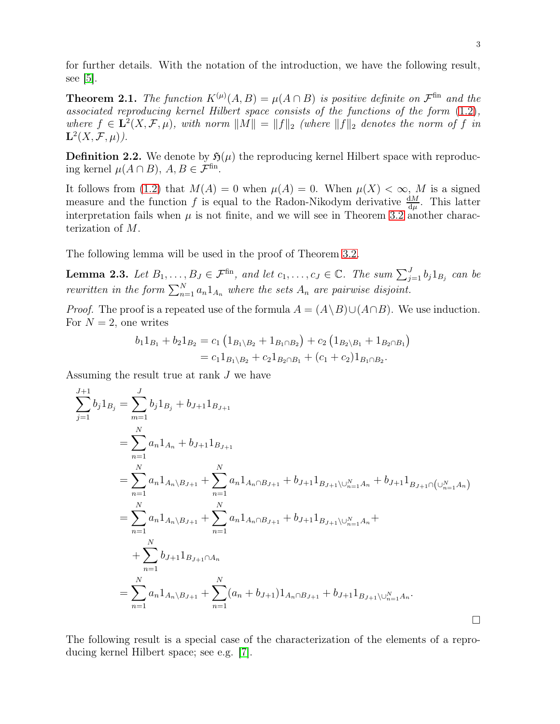for further details. With the notation of the introduction, we have the following result, see  $|5|$ .

<span id="page-2-1"></span>**Theorem 2.1.** The function  $K^{(\mu)}(A, B) = \mu(A \cap B)$  is positive definite on  $\mathcal{F}^{\text{fin}}$  and the associated reproducing kernel Hilbert space consists of the functions of the form [\(1.2\)](#page-1-1), where  $f \in L^2(X, \mathcal{F}, \mu)$ , with norm  $||M|| = ||f||_2$  (where  $||f||_2$  denotes the norm of f in  $\mathbf{L}^{2}(X, \mathcal{F}, \mu).$ 

**Definition 2.2.** We denote by  $\mathfrak{H}(\mu)$  the reproducing kernel Hilbert space with reproducing kernel  $\mu(A \cap B)$ ,  $A, B \in \mathcal{F}^{\text{fin}}$ .

It follows from [\(1.2\)](#page-1-1) that  $M(A) = 0$  when  $\mu(A) = 0$ . When  $\mu(X) < \infty$ , M is a signed measure and the function f is equal to the Radon-Nikodym derivative  $\frac{dM}{d\mu}$ . This latter interpretation fails when  $\mu$  is not finite, and we will see in Theorem [3.2](#page-3-1) another characterization of M.

The following lemma will be used in the proof of Theorem [3.2.](#page-3-1)

<span id="page-2-0"></span>**Lemma 2.3.** Let  $B_1, \ldots, B_J \in \mathcal{F}^{\text{fin}}$ , and let  $c_1, \ldots, c_J \in \mathbb{C}$ . The sum  $\sum_{j=1}^J b_j 1_{B_j}$  can be rewritten in the form  $\sum_{n=1}^{N} a_n 1_{A_n}$  where the sets  $A_n$  are pairwise disjoint.

*Proof.* The proof is a repeated use of the formula  $A = (A \ B) \cup (A \cap B)$ . We use induction. For  $N = 2$ , one writes

$$
b_1 1_{B_1} + b_2 1_{B_2} = c_1 (1_{B_1 \setminus B_2} + 1_{B_1 \cap B_2}) + c_2 (1_{B_2 \setminus B_1} + 1_{B_2 \cap B_1})
$$
  
=  $c_1 1_{B_1 \setminus B_2} + c_2 1_{B_2 \cap B_1} + (c_1 + c_2) 1_{B_1 \cap B_2}$ .

Assuming the result true at rank  $J$  we have

$$
\sum_{j=1}^{J+1} b_j 1_{B_j} = \sum_{m=1}^{J} b_j 1_{B_j} + b_{J+1} 1_{B_{J+1}}
$$
\n
$$
= \sum_{n=1}^{N} a_n 1_{A_n} + b_{J+1} 1_{B_{J+1}}
$$
\n
$$
= \sum_{n=1}^{N} a_n 1_{A_n \setminus B_{J+1}} + \sum_{n=1}^{N} a_n 1_{A_n \cap B_{J+1}} + b_{J+1} 1_{B_{J+1} \setminus \bigcup_{n=1}^{N} A_n} + b_{J+1} 1_{B_{J+1} \cap \bigcup_{n=1}^{N} A_n} )
$$
\n
$$
= \sum_{n=1}^{N} a_n 1_{A_n \setminus B_{J+1}} + \sum_{n=1}^{N} a_n 1_{A_n \cap B_{J+1}} + b_{J+1} 1_{B_{J+1} \setminus \bigcup_{n=1}^{N} A_n} + \sum_{n=1}^{N} b_{J+1} 1_{B_{J+1} \cap A_n}
$$
\n
$$
= \sum_{n=1}^{N} a_n 1_{A_n \setminus B_{J+1}} + \sum_{n=1}^{N} (a_n + b_{J+1}) 1_{A_n \cap B_{J+1}} + b_{J+1} 1_{B_{J+1} \setminus \bigcup_{n=1}^{N} A_n}.
$$

The following result is a special case of the characterization of the elements of a reproducing kernel Hilbert space; see e.g. [\[7\]](#page-12-4).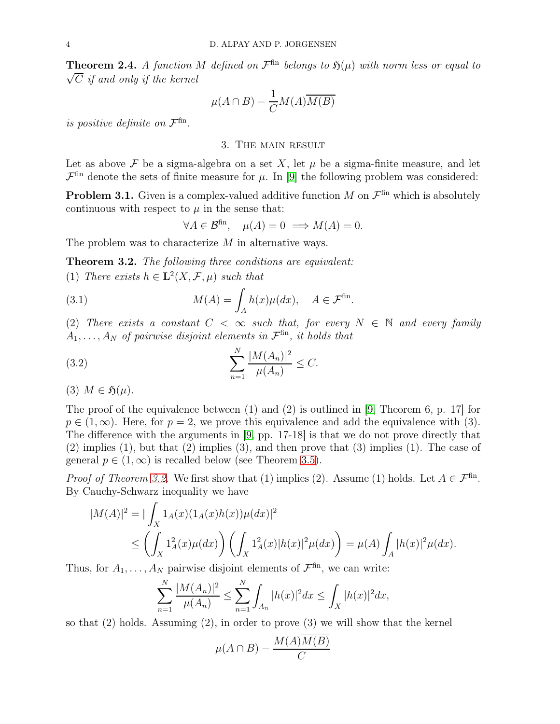<span id="page-3-2"></span>**Theorem 2.4.** A function M defined on  $\mathcal{F}^{\text{fin}}$  belongs to  $\mathfrak{H}(\mu)$  with norm less or equal to  $\sqrt{C}$  if and only if the kernel

$$
\mu(A \cap B) - \frac{1}{C}M(A)\overline{M(B)}
$$

<span id="page-3-0"></span>is positive definite on  $\mathcal{F}^{\text{fin}}$ .

#### 3. The main result

Let as above  $\mathcal F$  be a sigma-algebra on a set X, let  $\mu$  be a sigma-finite measure, and let  $\mathcal{F}^{\text{fin}}$  denote the sets of finite measure for  $\mu$ . In [\[9\]](#page-13-0) the following problem was considered:

**Problem 3.1.** Given is a complex-valued additive function M on  $\mathcal{F}^{\text{fin}}$  which is absolutely continuous with respect to  $\mu$  in the sense that:

<span id="page-3-4"></span><span id="page-3-3"></span>
$$
\forall A \in \mathcal{B}^{\text{fin}}, \quad \mu(A) = 0 \implies M(A) = 0.
$$

The problem was to characterize M in alternative ways.

<span id="page-3-1"></span>Theorem 3.2. The following three conditions are equivalent: (1) There exists  $h \in \mathbf{L}^2(X, \mathcal{F}, \mu)$  such that

(3.1) 
$$
M(A) = \int_A h(x) \mu(dx), \quad A \in \mathcal{F}^{\text{fin}}.
$$

(2) There exists a constant  $C < \infty$  such that, for every  $N \in \mathbb{N}$  and every family  $A_1, \ldots, A_N$  of pairwise disjoint elements in  $\mathcal{F}^{\text{fin}}$ , it holds that

(3.2) 
$$
\sum_{n=1}^{N} \frac{|M(A_n)|^2}{\mu(A_n)} \leq C.
$$

$$
(3) M \in \mathfrak{H}(\mu).
$$

The proof of the equivalence between (1) and (2) is outlined in [\[9,](#page-13-0) Theorem 6, p. 17] for  $p \in (1,\infty)$ . Here, for  $p=2$ , we prove this equivalence and add the equivalence with (3). The difference with the arguments in [\[9,](#page-13-0) pp. 17-18] is that we do not prove directly that  $(2)$  implies  $(1)$ , but that  $(2)$  implies  $(3)$ , and then prove that  $(3)$  implies  $(1)$ . The case of general  $p \in (1,\infty)$  is recalled below (see Theorem [3.5\)](#page-5-0).

*Proof of Theorem [3.2.](#page-3-1)* We first show that (1) implies (2). Assume (1) holds. Let  $A \in \mathcal{F}^{\text{fin}}$ . By Cauchy-Schwarz inequality we have

$$
|M(A)|^2 = |\int_X 1_A(x)(1_A(x)h(x))\mu(dx)|^2
$$
  
\n
$$
\leq \left(\int_X 1_A^2(x)\mu(dx)\right) \left(\int_X 1_A^2(x)|h(x)|^2\mu(dx)\right) = \mu(A) \int_A |h(x)|^2\mu(dx).
$$

Thus, for  $A_1, \ldots, A_N$  pairwise disjoint elements of  $\mathcal{F}^{\text{fin}}$ , we can write:

$$
\sum_{n=1}^{N} \frac{|M(A_n)|^2}{\mu(A_n)} \le \sum_{n=1}^{N} \int_{A_n} |h(x)|^2 dx \le \int_{X} |h(x)|^2 dx,
$$

so that  $(2)$  holds. Assuming  $(2)$ , in order to prove  $(3)$  we will show that the kernel

$$
\mu(A \cap B) - \frac{M(A)M(B)}{C}
$$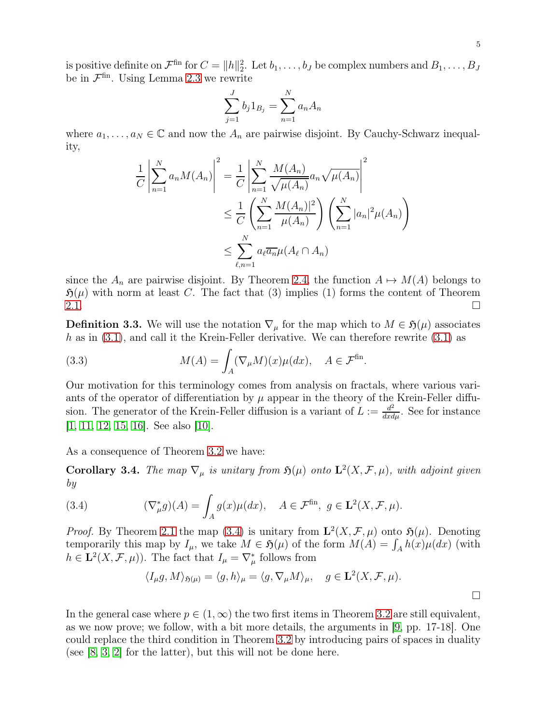is positive definite on  $\mathcal{F}^{\text{fin}}$  for  $C = ||h||_2^2$ . Let  $b_1, \ldots, b_J$  be complex numbers and  $B_1, \ldots, B_J$ be in  $\mathcal{F}^{\text{fin}}$ . Using Lemma [2.3](#page-2-0) we rewrite

$$
\sum_{j=1}^{J} b_j 1_{B_j} = \sum_{n=1}^{N} a_n A_n
$$

where  $a_1, \ldots, a_N \in \mathbb{C}$  and now the  $A_n$  are pairwise disjoint. By Cauchy-Schwarz inequality,

$$
\frac{1}{C} \left| \sum_{n=1}^{N} a_n M(A_n) \right|^2 = \frac{1}{C} \left| \sum_{n=1}^{N} \frac{M(A_n)}{\sqrt{\mu(A_n)}} a_n \sqrt{\mu(A_n)} \right|^2
$$
  

$$
\leq \frac{1}{C} \left( \sum_{n=1}^{N} \frac{M(A_n)|^2}{\mu(A_n)} \right) \left( \sum_{n=1}^{N} |a_n|^2 \mu(A_n) \right)
$$
  

$$
\leq \sum_{\ell,n=1}^{N} a_\ell \overline{a_n} \mu(A_\ell \cap A_n)
$$

since the  $A_n$  are pairwise disjoint. By Theorem [2.4,](#page-3-2) the function  $A \mapsto M(A)$  belongs to  $\mathfrak{H}(\mu)$  with norm at least C. The fact that (3) implies (1) forms the content of Theorem  $2.1.$ 

**Definition 3.3.** We will use the notation  $\nabla_{\mu}$  for the map which to  $M \in \mathfrak{H}(\mu)$  associates h as in  $(3.1)$ , and call it the Krein-Feller derivative. We can therefore rewrite  $(3.1)$  as

<span id="page-4-1"></span>(3.3) 
$$
M(A) = \int_A (\nabla_\mu M)(x) \mu(dx), \quad A \in \mathcal{F}^{\text{fin}}.
$$

Our motivation for this terminology comes from analysis on fractals, where various variants of the operator of differentiation by  $\mu$  appear in the theory of the Krein-Feller diffusion. The generator of the Krein-Feller diffusion is a variant of  $L := \frac{d^2}{dx d\mu}$ . See for instance [\[1,](#page-12-5) [11,](#page-13-4) [12,](#page-13-5) [15,](#page-13-6) [16\]](#page-13-7). See also [\[10\]](#page-13-8).

As a consequence of Theorem [3.2](#page-3-1) we have:

**Corollary 3.4.** The map  $\nabla_{\mu}$  is unitary from  $\mathfrak{H}(\mu)$  onto  $\mathbf{L}^2(X,\mathcal{F},\mu)$ , with adjoint given by

(3.4) 
$$
(\nabla_{\mu}^* g)(A) = \int_A g(x) \mu(dx), \quad A \in \mathcal{F}^{\text{fin}}, \ g \in \mathbf{L}^2(X, \mathcal{F}, \mu).
$$

*Proof.* By Theorem [2.1](#page-2-1) the map [\(3.4\)](#page-4-0) is unitary from  $\mathbf{L}^2(X,\mathcal{F},\mu)$  onto  $\mathfrak{H}(\mu)$ . Denoting temporarily this map by  $I_{\mu}$ , we take  $M \in \mathfrak{H}(\mu)$  of the form  $M(A) = \int_A h(x) \mu(dx)$  (with  $h \in \mathbf{L}^{2}(X, \mathcal{F}, \mu)$ . The fact that  $I_{\mu} = \nabla_{\mu}^{*}$  follows from

<span id="page-4-0"></span>
$$
\langle I_{\mu}g, M\rangle_{\mathfrak{H}(\mu)} = \langle g, h\rangle_{\mu} = \langle g, \nabla_{\mu}M\rangle_{\mu}, \quad g \in \mathbf{L}^{2}(X, \mathcal{F}, \mu).
$$

In the general case where  $p \in (1,\infty)$  the two first items in Theorem [3.2](#page-3-1) are still equivalent, as we now prove; we follow, with a bit more details, the arguments in [\[9,](#page-13-0) pp. 17-18]. One could replace the third condition in Theorem [3.2](#page-3-1) by introducing pairs of spaces in duality (see [\[8,](#page-13-9) [3,](#page-12-6) [2\]](#page-12-7) for the latter), but this will not be done here.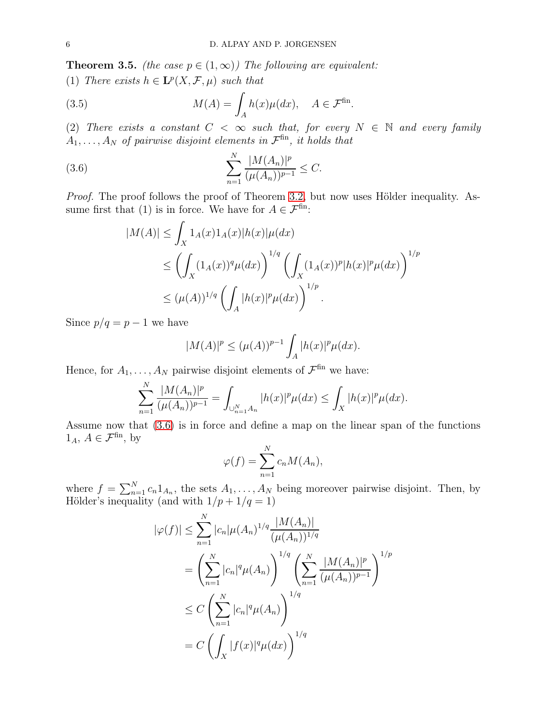<span id="page-5-0"></span>**Theorem 3.5.** (the case  $p \in (1, \infty)$ ) The following are equivalent:<br>(1) There exists  $h \in \mathbf{L}^{p}(Y, \mathcal{F}, \mu)$  each that

(1) There exists 
$$
h \in \mathbf{L}^p(X, \mathcal{F}, \mu)
$$
 such that

(3.5) 
$$
M(A) = \int_A h(x) \mu(dx), \quad A \in \mathcal{F}^{\text{fin}}.
$$

(2) There exists a constant  $C < \infty$  such that, for every  $N \in \mathbb{N}$  and every family  $A_1, \ldots, A_N$  of pairwise disjoint elements in  $\mathcal{F}^{\text{fin}}$ , it holds that

(3.6) 
$$
\sum_{n=1}^{N} \frac{|M(A_n)|^p}{(\mu(A_n))^{p-1}} \leq C.
$$

Proof. The proof follows the proof of Theorem [3.2,](#page-3-1) but now uses Hölder inequality. Assume first that (1) is in force. We have for  $A \in \mathcal{F}^{\text{fin}}$ :

<span id="page-5-1"></span>
$$
|M(A)| \leq \int_X 1_A(x) 1_A(x) |h(x)| \mu(dx)
$$
  
\n
$$
\leq \left( \int_X (1_A(x))^q \mu(dx) \right)^{1/q} \left( \int_X (1_A(x))^p |h(x)|^p \mu(dx) \right)^{1/p}
$$
  
\n
$$
\leq (\mu(A))^{1/q} \left( \int_A |h(x)|^p \mu(dx) \right)^{1/p}.
$$

Since  $p/q = p - 1$  we have

$$
|M(A)|^p \le (\mu(A))^{p-1} \int_A |h(x)|^p \mu(dx).
$$

Hence, for  $A_1, \ldots, A_N$  pairwise disjoint elements of  $\mathcal{F}^{\text{fin}}$  we have:

$$
\sum_{n=1}^N \frac{|M(A_n)|^p}{(\mu(A_n))^{p-1}} = \int_{\cup_{n=1}^N A_n} |h(x)|^p \mu(dx) \le \int_X |h(x)|^p \mu(dx).
$$

Assume now that [\(3.6\)](#page-5-1) is in force and define a map on the linear span of the functions  $1_A$ ,  $A \in \mathcal{F}^{\text{fin}}$ , by

$$
\varphi(f) = \sum_{n=1}^{N} c_n M(A_n),
$$

where  $f = \sum_{n=1}^{N} c_n 1_{A_n}$ , the sets  $A_1, \ldots, A_N$  being moreover pairwise disjoint. Then, by Hölder's inequality (and with  $1/p + 1/q = 1$ )

$$
|\varphi(f)| \leq \sum_{n=1}^{N} |c_n| \mu(A_n)^{1/q} \frac{|M(A_n)|}{(\mu(A_n))^{1/q}}
$$
  
= 
$$
\left(\sum_{n=1}^{N} |c_n|^q \mu(A_n)\right)^{1/q} \left(\sum_{n=1}^{N} \frac{|M(A_n)|^p}{(\mu(A_n))^{p-1}}\right)^{1/p}
$$
  

$$
\leq C \left(\sum_{n=1}^{N} |c_n|^q \mu(A_n)\right)^{1/q}
$$
  
= 
$$
C \left(\int_X |f(x)|^q \mu(dx)\right)^{1/q}
$$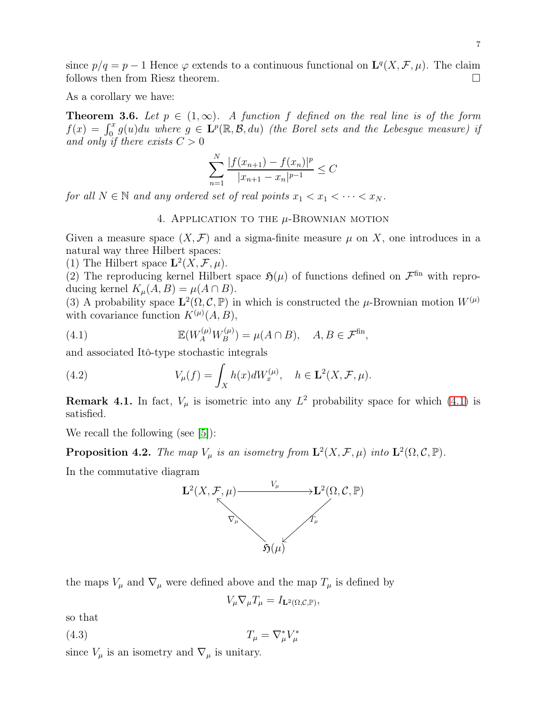since  $p/q = p - 1$  Hence  $\varphi$  extends to a continuous functional on  $\mathbf{L}^q(X, \mathcal{F}, \mu)$ . The claim follows then from Riesz theorem.

As a corollary we have:

**Theorem 3.6.** Let  $p \in (1,\infty)$ . A function f defined on the real line is of the form  $f(x) = \int_0^x g(u)du$  where  $g \in \mathbf{L}^p(\mathbb{R}, \mathcal{B}, du)$  (the Borel sets and the Lebesgue measure) if and only if there exists  $C > 0$ 

$$
\sum_{n=1}^{N} \frac{|f(x_{n+1}) - f(x_n)|^p}{|x_{n+1} - x_n|^{p-1}} \le C
$$

<span id="page-6-0"></span>for all  $N \in \mathbb{N}$  and any ordered set of real points  $x_1 < x_1 < \cdots < x_N$ .

4. APPLICATION TO THE  $\mu$ -BROWNIAN MOTION

Given a measure space  $(X, \mathcal{F})$  and a sigma-finite measure  $\mu$  on X, one introduces in a natural way three Hilbert spaces:

(1) The Hilbert space  $\mathbf{L}^2(X,\mathcal{F},\mu)$ .

(2) The reproducing kernel Hilbert space  $\mathfrak{H}(\mu)$  of functions defined on  $\mathcal{F}^{\text{fin}}$  with reproducing kernel  $K_{\mu}(A, B) = \mu(A \cap B)$ .

(3) A probability space  $\mathbf{L}^2(\Omega, \mathcal{C}, \mathbb{P})$  in which is constructed the  $\mu$ -Brownian motion  $W^{(\mu)}$ with covariance function  $K^{(\mu)}(A, B)$ ,

<span id="page-6-1"></span>(4.1) 
$$
\mathbb{E}(W_A^{(\mu)} W_B^{(\mu)}) = \mu(A \cap B), \quad A, B \in \mathcal{F}^{\text{fin}},
$$

and associated Itô-type stochastic integrals

(4.2) 
$$
V_{\mu}(f) = \int_{X} h(x)dW_x^{(\mu)}, \quad h \in \mathbf{L}^2(X,\mathcal{F},\mu).
$$

**Remark 4.1.** In fact,  $V_{\mu}$  is isometric into any  $L^2$  probability space for which [\(4.1\)](#page-6-1) is satisfied.

We recall the following (see [\[5\]](#page-12-3)):

<span id="page-6-3"></span>**Proposition 4.2.** The map  $V_{\mu}$  is an isometry from  $\mathbf{L}^2(X,\mathcal{F},\mu)$  into  $\mathbf{L}^2(\Omega,\mathcal{C},\mathbb{P})$ .

In the commutative diagram



the maps  $V_{\mu}$  and  $\nabla_{\mu}$  were defined above and the map  $T_{\mu}$  is defined by

<span id="page-6-2"></span>
$$
V_{\mu} \nabla_{\mu} T_{\mu} = I_{\mathbf{L}^2(\Omega, \mathcal{C}, \mathbb{P})},
$$

so that

$$
(4.3) \t\t T_{\mu} = \nabla_{\mu}^* V_{\mu}^*
$$

since  $V_\mu$  is an isometry and  $\nabla_\mu$  is unitary.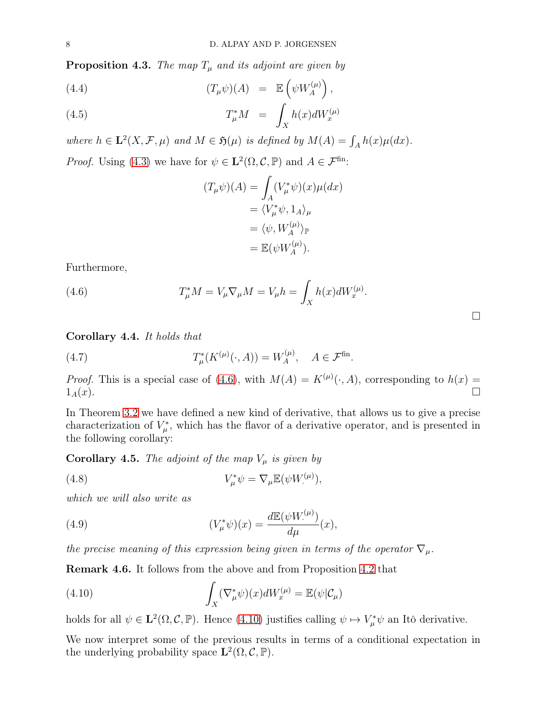**Proposition 4.3.** The map  $T_{\mu}$  and its adjoint are given by

(4.4) 
$$
(T_{\mu}\psi)(A) = \mathbb{E}\left(\psi W_{A}^{(\mu)}\right),
$$

(4.5) 
$$
T_{\mu}^* M = \int_X h(x) dW_x^{(\mu)}
$$

where  $h \in \mathbf{L}^2(X, \mathcal{F}, \mu)$  and  $M \in \mathfrak{H}(\mu)$  is defined by  $M(A) = \int_A h(x) \mu(dx)$ .

*Proof.* Using [\(4.3\)](#page-6-2) we have for  $\psi \in \mathbf{L}^2(\Omega, \mathcal{C}, \mathbb{P})$  and  $A \in \mathcal{F}^{\text{fin}}$ :

<span id="page-7-0"></span>
$$
(T_{\mu}\psi)(A) = \int_{A} (V_{\mu}^{*}\psi)(x)\mu(dx)
$$
  
=  $\langle V_{\mu}^{*}\psi, 1_{A}\rangle_{\mu}$   
=  $\langle \psi, W_{A}^{(\mu)}\rangle_{\mathbb{P}}$   
=  $\mathbb{E}(\psi W_{A}^{(\mu)}).$ 

Furthermore,

(4.6) 
$$
T_{\mu}^* M = V_{\mu} \nabla_{\mu} M = V_{\mu} h = \int_X h(x) dW_x^{(\mu)}.
$$

#### Corollary 4.4. It holds that

(4.7) 
$$
T^*_{\mu}(K^{(\mu)}(\cdot,A)) = W^{(\mu)}_A, \quad A \in \mathcal{F}^{\text{fin}}.
$$

*Proof.* This is a special case of [\(4.6\)](#page-7-0), with  $M(A) = K^{(\mu)}(\cdot, A)$ , corresponding to  $h(x) =$  $1_A(x)$ .

In Theorem [3.2](#page-3-1) we have defined a new kind of derivative, that allows us to give a precise characterization of  $V^*_{\mu}$ , which has the flavor of a derivative operator, and is presented in the following corollary:

**Corollary 4.5.** The adjoint of the map  $V_\mu$  is given by

<span id="page-7-3"></span>(4.8) 
$$
V_{\mu}^*\psi = \nabla_{\mu} \mathbb{E}(\psi W_{\cdot}^{(\mu)}),
$$

which we will also write as

<span id="page-7-2"></span>(4.9) 
$$
(V_{\mu}^*\psi)(x) = \frac{d\mathbb{E}(\psi W_{\cdot}^{(\mu)})}{d\mu}(x),
$$

the precise meaning of this expression being given in terms of the operator  $\nabla_{\mu}$ .

Remark 4.6. It follows from the above and from Proposition [4.2](#page-6-3) that

<span id="page-7-1"></span>(4.10) 
$$
\int_X (\nabla^*_{\mu} \psi)(x) dW_x^{(\mu)} = \mathbb{E}(\psi | \mathcal{C}_{\mu})
$$

holds for all  $\psi \in \mathbf{L}^2(\Omega, \mathcal{C}, \mathbb{P})$ . Hence [\(4.10\)](#page-7-1) justifies calling  $\psi \mapsto V^*_{\mu} \psi$  an Itô derivative.

We now interpret some of the previous results in terms of a conditional expectation in the underlying probability space  $\mathbf{L}^2(\Omega, \mathcal{C}, \mathbb{P})$ .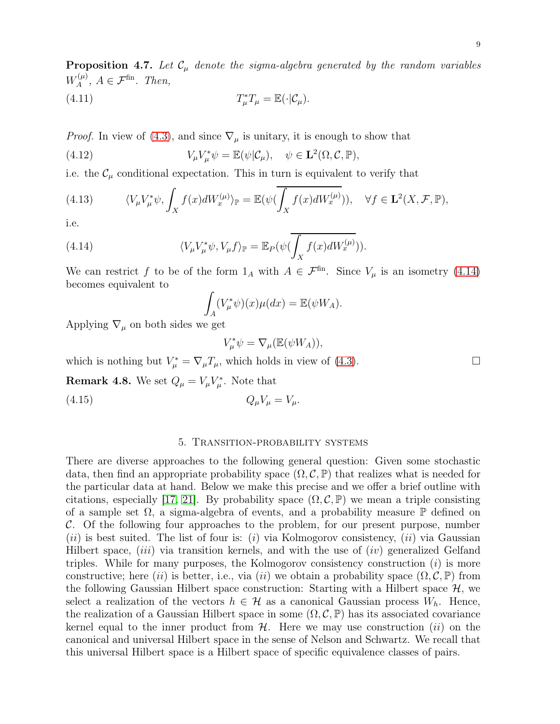**Proposition 4.7.** Let  $\mathcal{C}_{\mu}$  denote the sigma-algebra generated by the random variables  $W^{(\mu)}_A$  $A^{(\mu)}$ ,  $A \in \mathcal{F}^{\text{fin}}$ . Then,

<span id="page-8-2"></span>(4.11) 
$$
T_{\mu}^*T_{\mu} = \mathbb{E}(\cdot|\mathcal{C}_{\mu}).
$$

*Proof.* In view of [\(4.3\)](#page-6-2), and since  $\nabla_{\mu}$  is unitary, it is enough to show that

(4.12) 
$$
V_{\mu}V_{\mu}^*\psi = \mathbb{E}(\psi|\mathcal{C}_{\mu}), \quad \psi \in \mathbf{L}^2(\Omega, \mathcal{C}, \mathbb{P}),
$$

i.e. the  $\mathcal{C}_{\mu}$  conditional expectation. This in turn is equivalent to verify that

(4.13) 
$$
\langle V_{\mu} V_{\mu}^* \psi, \int_X f(x) dW_x^{(\mu)} \rangle_{\mathbb{P}} = \mathbb{E}(\psi(\overline{\int_X f(x) dW_x^{(\mu)}})), \quad \forall f \in \mathbf{L}^2(X, \mathcal{F}, \mathbb{P}),
$$

i.e.

(4.14) 
$$
\langle V_{\mu}V_{\mu}^*\psi, V_{\mu}f\rangle_{\mathbb{P}} = \mathbb{E}_P(\psi(\overline{\int_X f(x)dW_x^{(\mu)}})).
$$

We can restrict f to be of the form  $1_A$  with  $A \in \mathcal{F}^{\text{fin}}$ . Since  $V_\mu$  is an isometry [\(4.14\)](#page-8-1) becomes equivalent to

<span id="page-8-1"></span>
$$
\int_A (V_\mu^* \psi)(x) \mu(dx) = \mathbb{E}(\psi W_A).
$$

Applying  $\nabla_{\mu}$  on both sides we get

<span id="page-8-3"></span>
$$
V_{\mu}^*\psi = \nabla_{\mu}(\mathbb{E}(\psi W_A)),
$$

which is nothing but  $V_{\mu}^* = \nabla_{\mu} T_{\mu}$ , which holds in view of [\(4.3\)](#page-6-2).

**Remark 4.8.** We set  $Q_{\mu} = V_{\mu}V_{\mu}^*$ . Note that

<span id="page-8-0"></span>(4.15)  $Q_{\mu}V_{\mu} = V_{\mu}$ .

#### 5. Transition-probability systems

There are diverse approaches to the following general question: Given some stochastic data, then find an appropriate probability space  $(\Omega, \mathcal{C}, \mathbb{P})$  that realizes what is needed for the particular data at hand. Below we make this precise and we offer a brief outline with citations, especially [\[17,](#page-13-10) [21\]](#page-13-11). By probability space  $(\Omega, \mathcal{C}, \mathbb{P})$  we mean a triple consisting of a sample set  $\Omega$ , a sigma-algebra of events, and a probability measure  $\mathbb P$  defined on  $\mathcal{C}$ . Of the following four approaches to the problem, for our present purpose, number (ii) is best suited. The list of four is: (i) via Kolmogorov consistency, (ii) via Gaussian Hilbert space,  $(iii)$  via transition kernels, and with the use of  $(iv)$  generalized Gelfand triples. While for many purposes, the Kolmogorov consistency construction  $(i)$  is more constructive; here (ii) is better, i.e., via (ii) we obtain a probability space  $(\Omega, \mathcal{C}, \mathbb{P})$  from the following Gaussian Hilbert space construction: Starting with a Hilbert space  $\mathcal{H}$ , we select a realization of the vectors  $h \in \mathcal{H}$  as a canonical Gaussian process  $W_h$ . Hence, the realization of a Gaussian Hilbert space in some  $(\Omega, \mathcal{C}, \mathbb{P})$  has its associated covariance kernel equal to the inner product from  $H$ . Here we may use construction (ii) on the canonical and universal Hilbert space in the sense of Nelson and Schwartz. We recall that this universal Hilbert space is a Hilbert space of specific equivalence classes of pairs.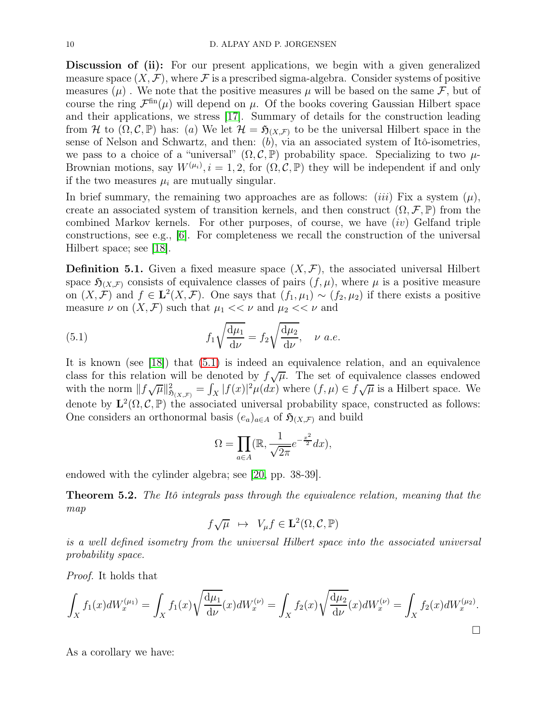Discussion of (ii): For our present applications, we begin with a given generalized measure space  $(X, \mathcal{F})$ , where  $\mathcal F$  is a prescribed sigma-algebra. Consider systems of positive measures  $(\mu)$ . We note that the positive measures  $\mu$  will be based on the same F, but of course the ring  $\mathcal{F}^{\text{fin}}(\mu)$  will depend on  $\mu$ . Of the books covering Gaussian Hilbert space and their applications, we stress [\[17\]](#page-13-10). Summary of details for the construction leading from H to  $(\Omega, \mathcal{C}, \mathbb{P})$  has: (a) We let  $\mathcal{H} = \mathfrak{H}_{(X,\mathcal{F})}$  to be the universal Hilbert space in the sense of Nelson and Schwartz, and then:  $(b)$ , via an associated system of Itô-isometries, we pass to a choice of a "universal"  $(\Omega, \mathcal{C}, \mathbb{P})$  probability space. Specializing to two  $\mu$ -Brownian motions, say  $W^{(\mu_i)}$ ,  $i = 1, 2$ , for  $(\Omega, \mathcal{C}, \mathbb{P})$  they will be independent if and only if the two measures  $\mu_i$  are mutually singular.

In brief summary, the remaining two approaches are as follows: *(iii)* Fix a system  $(\mu)$ , create an associated system of transition kernels, and then construct  $(\Omega, \mathcal{F}, \mathbb{P})$  from the combined Markov kernels. For other purposes, of course, we have  $(iv)$  Gelfand triple constructions, see e.g., [\[6\]](#page-12-8). For completeness we recall the construction of the universal Hilbert space; see [\[18\]](#page-13-12).

**Definition 5.1.** Given a fixed measure space  $(X, \mathcal{F})$ , the associated universal Hilbert space  $\mathfrak{H}_{(X,\mathcal{F})}$  consists of equivalence classes of pairs  $(f,\mu)$ , where  $\mu$  is a positive measure on  $(X, \mathcal{F})$  and  $f \in \mathbf{L}^{2}(X, \mathcal{F})$ . One says that  $(f_1, \mu_1) \sim (f_2, \mu_2)$  if there exists a positive measure  $\nu$  on  $(X, \mathcal{F})$  such that  $\mu_1 \ll \nu$  and  $\mu_2 \ll \nu$  and

(5.1) 
$$
f_1 \sqrt{\frac{d\mu_1}{d\nu}} = f_2 \sqrt{\frac{d\mu_2}{d\nu}}, \quad \nu \ a.e.
$$

It is known (see [\[18\]](#page-13-12)) that [\(5.1\)](#page-9-0) is indeed an equivalence relation, and an equivalence class for this relation will be denoted by  $f\sqrt{\mu}$ . The set of equivalence classes endowed with the norm  $||f\sqrt{\mu}||_{\mathfrak{H}_{(X,\mathcal{F})}}^2 = \int_X |f(x)|^2 \mu(dx)$  where  $(f,\mu) \in \mathfrak{f}\sqrt{\mu}$  is a Hilbert space. We denote by  $\mathbf{L}^2(\Omega, \mathcal{C}, \mathbb{P})$  the associated universal probability space, constructed as follows: One considers an orthonormal basis  $(e_a)_{a \in A}$  of  $\mathfrak{H}_{(X,\mathcal{F})}$  and build

<span id="page-9-0"></span>
$$
\Omega = \prod_{a \in A} (\mathbb{R}, \frac{1}{\sqrt{2\pi}} e^{-\frac{x^2}{2}} dx),
$$

endowed with the cylinder algebra; see [\[20,](#page-13-13) pp. 38-39].

**Theorem 5.2.** The Itô integrals pass through the equivalence relation, meaning that the map

$$
f\sqrt{\mu} \ \mapsto \ V_{\mu}f \in \mathbf{L}^{2}(\Omega, \mathcal{C}, \mathbb{P})
$$

is a well defined isometry from the universal Hilbert space into the associated universal probability space.

Proof. It holds that

$$
\int_X f_1(x)dW_x^{(\mu_1)} = \int_X f_1(x)\sqrt{\frac{d\mu_1}{d\nu}}(x)dW_x^{(\nu)} = \int_X f_2(x)\sqrt{\frac{d\mu_2}{d\nu}}(x)dW_x^{(\nu)} = \int_X f_2(x)dW_x^{(\mu_2)}.
$$

As a corollary we have: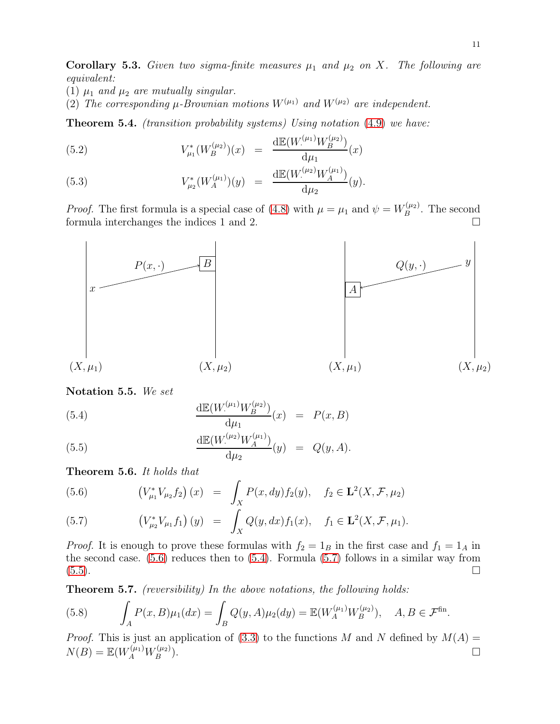**Corollary 5.3.** Given two sigma-finite measures  $\mu_1$  and  $\mu_2$  on X. The following are equivalent:

- (1)  $\mu_1$  and  $\mu_2$  are mutually singular.
- (2) The corresponding  $\mu$ -Brownian motions  $W^{(\mu_1)}$  and  $W^{(\mu_2)}$  are independent.

<span id="page-10-0"></span>Theorem 5.4. (transition probability systems) Using notation [\(4.9\)](#page-7-2) we have:

(5.2) 
$$
V_{\mu_1}^*(W_B^{(\mu_2)})(x) = \frac{\mathrm{d}\mathbb{E}(W_{\mu_1}^{(\mu_1)}W_B^{(\mu_2)})}{\mathrm{d}\mu_1}(x)
$$

(5.3) 
$$
V_{\mu_2}^*(W_A^{(\mu_1)})(y) = \frac{\mathrm{d}\mathbb{E}(W_{\cdot}^{(\mu_2)}W_A^{(\mu_1)})}{\mathrm{d}\mu_2}(y).
$$

*Proof.* The first formula is a special case of [\(4.8\)](#page-7-3) with  $\mu = \mu_1$  and  $\psi = W_B^{(\mu_2)}$  $B^{\left(\mu_2\right)}$ . The second formula interchanges the indices 1 and 2.



Notation 5.5. We set

<span id="page-10-4"></span>(5.4) 
$$
\frac{\mathrm{d}\mathbb{E}(W_{\cdot}^{(\mu_1)}W_B^{(\mu_2)})}{\mathrm{d}\mu_1}(x) = P(x, B)
$$

(5.5) 
$$
\frac{\mathrm{d}\mathbb{E}(W_{A}^{(\mu_2)}W_{A}^{(\mu_1)})}{\mathrm{d}\mu_2}(y) = Q(y,A).
$$

<span id="page-10-1"></span>Theorem 5.6. It holds that

<span id="page-10-3"></span>(5.6) 
$$
(V_{\mu_1}^* V_{\mu_2} f_2) (x) = \int_X P(x, dy) f_2(y), \quad f_2 \in \mathbf{L}^2(X, \mathcal{F}, \mu_2)
$$

(5.7) 
$$
(V_{\mu_2}^* V_{\mu_1} f_1) (y) = \int_X Q(y, dx) f_1(x), \quad f_1 \in \mathbf{L}^2(X, \mathcal{F}, \mu_1).
$$

*Proof.* It is enough to prove these formulas with  $f_2 = 1_B$  in the first case and  $f_1 = 1_A$  in the second case.  $(5.6)$  reduces then to  $(5.4)$ . Formula  $(5.7)$  follows in a similar way from  $(5.5)$ .

<span id="page-10-2"></span>Theorem 5.7. (reversibility) In the above notations, the following holds:

(5.8) 
$$
\int_{A} P(x, B) \mu_1(dx) = \int_{B} Q(y, A) \mu_2(dy) = \mathbb{E}(W_A^{(\mu_1)} W_B^{(\mu_2)}), \quad A, B \in \mathcal{F}^{\text{fin}}.
$$

*Proof.* This is just an application of [\(3.3\)](#page-4-1) to the functions M and N defined by  $M(A) =$  $N(B) = \mathbb{E}(W_A^{(\mu_1)} W_B^{(\mu_2)})$ B  $\Box$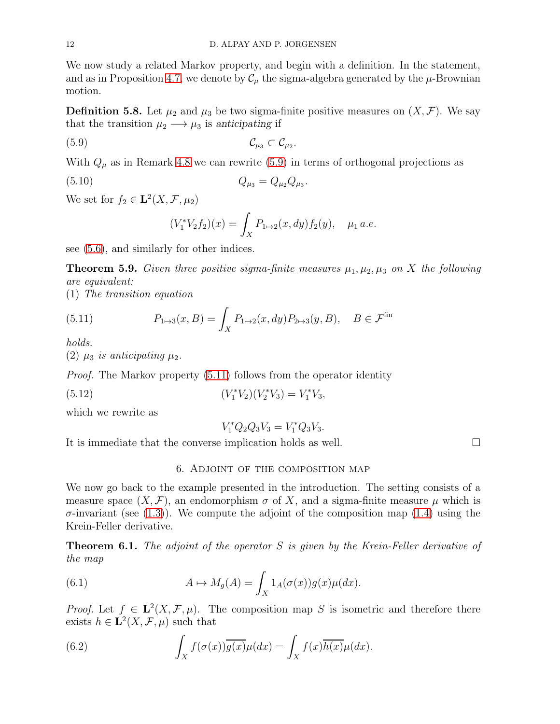We now study a related Markov property, and begin with a definition. In the statement, and as in Proposition [4.7,](#page-8-2) we denote by  $\mathcal{C}_{\mu}$  the sigma-algebra generated by the  $\mu$ -Brownian motion.

**Definition 5.8.** Let  $\mu_2$  and  $\mu_3$  be two sigma-finite positive measures on  $(X, \mathcal{F})$ . We say that the transition  $\mu_2 \longrightarrow \mu_3$  is anticipating if

$$
(5.9) \t\t\t\t\t\mathcal{C}_{\mu_3} \subset \mathcal{C}_{\mu_2}.
$$

With  $Q_{\mu}$  as in Remark [4.8](#page-8-3) we can rewrite [\(5.9\)](#page-11-1) in terms of orthogonal projections as

(5.10) 
$$
Q_{\mu_3} = Q_{\mu_2} Q_{\mu_3}.
$$

We set for  $f_2 \in \mathbf{L}^2(X, \mathcal{F}, \mu_2)$ 

<span id="page-11-1"></span>
$$
(V_1^* V_2 f_2)(x) = \int_X P_{1 \mapsto 2}(x, dy) f_2(y), \quad \mu_1 \, a.e.
$$

see [\(5.6\)](#page-10-3), and similarly for other indices.

**Theorem 5.9.** Given three positive sigma-finite measures  $\mu_1, \mu_2, \mu_3$  on X the following are equivalent:

(1) The transition equation

<span id="page-11-2"></span>(5.11) 
$$
P_{1 \mapsto 3}(x, B) = \int_{X} P_{1 \mapsto 2}(x, dy) P_{2 \mapsto 3}(y, B), \quad B \in \mathcal{F}^{\text{fin}}
$$

holds.

(2)  $\mu_3$  is anticipating  $\mu_2$ .

Proof. The Markov property [\(5.11\)](#page-11-2) follows from the operator identity

(5.12) 
$$
(V_1^* V_2)(V_2^* V_3) = V_1^* V_3,
$$

which we rewrite as

$$
V_1^* Q_2 Q_3 V_3 = V_1^* Q_3 V_3.
$$

<span id="page-11-0"></span>It is immediate that the converse implication holds as well.

<span id="page-11-3"></span>6. Adjoint of the composition map

We now go back to the example presented in the introduction. The setting consists of a measure space  $(X, \mathcal{F})$ , an endomorphism  $\sigma$  of X, and a sigma-finite measure  $\mu$  which is  $\sigma$ -invariant (see [\(1.3\)](#page-1-2)). We compute the adjoint of the composition map [\(1.4\)](#page-1-3) using the Krein-Feller derivative.

**Theorem 6.1.** The adjoint of the operator  $S$  is given by the Krein-Feller derivative of the map

(6.1) 
$$
A \mapsto M_g(A) = \int_X 1_A(\sigma(x))g(x)\mu(dx).
$$

*Proof.* Let  $f \in L^2(X, \mathcal{F}, \mu)$ . The composition map S is isometric and therefore there exists  $h \in \mathbf{L}^2(X, \mathcal{F}, \mu)$  such that

(6.2) 
$$
\int_X f(\sigma(x)) \overline{g(x)} \mu(dx) = \int_X f(x) \overline{h(x)} \mu(dx).
$$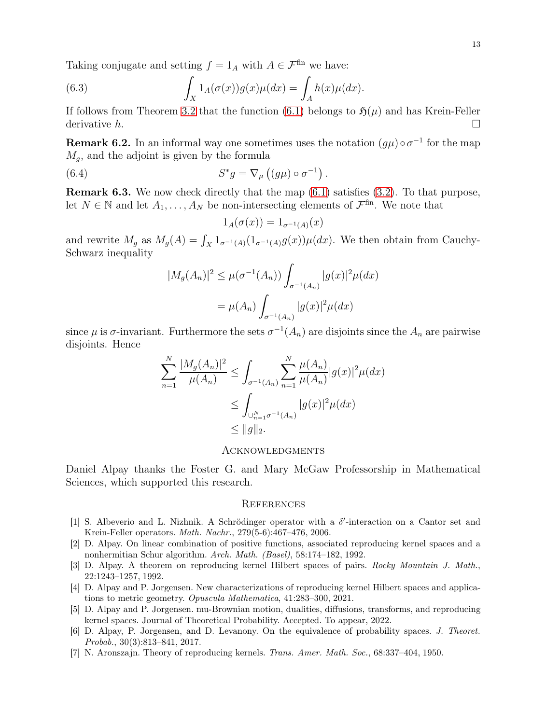Taking conjugate and setting  $f = 1_A$  with  $A \in \mathcal{F}^{\text{fin}}$  we have:

(6.3) 
$$
\int_X 1_A(\sigma(x))g(x)\mu(dx) = \int_A h(x)\mu(dx).
$$

If follows from Theorem [3.2](#page-3-1) that the function [\(6.1\)](#page-11-3) belongs to  $\mathfrak{H}(\mu)$  and has Krein-Feller derivative  $h$ .

**Remark 6.2.** In an informal way one sometimes uses the notation  $(g\mu) \circ \sigma^{-1}$  for the map  $M<sub>g</sub>$ , and the adjoint is given by the formula

(6.4) 
$$
S^*g = \nabla_{\mu} ((g\mu) \circ \sigma^{-1}).
$$

Remark 6.3. We now check directly that the map [\(6.1\)](#page-11-3) satisfies [\(3.2\)](#page-3-4). To that purpose, let  $N \in \mathbb{N}$  and let  $A_1, \ldots, A_N$  be non-intersecting elements of  $\mathcal{F}^{\text{fin}}$ . We note that

$$
1_A(\sigma(x)) = 1_{\sigma^{-1}(A)}(x)
$$

and rewrite  $M_g$  as  $M_g(A) = \int_X 1_{\sigma^{-1}(A)}(1_{\sigma^{-1}(A)}g(x))\mu(dx)$ . We then obtain from Cauchy-Schwarz inequality

$$
|M_g(A_n)|^2 \le \mu(\sigma^{-1}(A_n)) \int_{\sigma^{-1}(A_n)} |g(x)|^2 \mu(dx)
$$
  
=  $\mu(A_n) \int_{\sigma^{-1}(A_n)} |g(x)|^2 \mu(dx)$ 

since  $\mu$  is  $\sigma$ -invariant. Furthermore the sets  $\sigma^{-1}(A_n)$  are disjoints since the  $A_n$  are pairwise disjoints. Hence

$$
\sum_{n=1}^{N} \frac{|M_g(A_n)|^2}{\mu(A_n)} \le \int_{\sigma^{-1}(A_n)} \sum_{n=1}^{N} \frac{\mu(A_n)}{\mu(A_n)} |g(x)|^2 \mu(dx)
$$
  

$$
\le \int_{\bigcup_{n=1}^{N} \sigma^{-1}(A_n)} |g(x)|^2 \mu(dx)
$$
  

$$
\le ||g||_2.
$$

#### <span id="page-12-0"></span>Acknowledgments

Daniel Alpay thanks the Foster G. and Mary McGaw Professorship in Mathematical Sciences, which supported this research.

#### <span id="page-12-1"></span>**REFERENCES**

- <span id="page-12-5"></span>[1] S. Albeverio and L. Nizhnik. A Schrödinger operator with a  $\delta'$ -interaction on a Cantor set and Krein-Feller operators. Math. Nachr., 279(5-6):467–476, 2006.
- <span id="page-12-7"></span>[2] D. Alpay. On linear combination of positive functions, associated reproducing kernel spaces and a nonhermitian Schur algorithm. Arch. Math. (Basel), 58:174–182, 1992.
- <span id="page-12-6"></span>[3] D. Alpay. A theorem on reproducing kernel Hilbert spaces of pairs. Rocky Mountain J. Math., 22:1243–1257, 1992.
- <span id="page-12-2"></span>[4] D. Alpay and P. Jorgensen. New characterizations of reproducing kernel Hilbert spaces and applications to metric geometry. Opuscula Mathematica, 41:283–300, 2021.
- <span id="page-12-3"></span>[5] D. Alpay and P. Jorgensen. mu-Brownian motion, dualities, diffusions, transforms, and reproducing kernel spaces. Journal of Theoretical Probability. Accepted. To appear, 2022.
- <span id="page-12-8"></span>[6] D. Alpay, P. Jorgensen, and D. Levanony. On the equivalence of probability spaces. J. Theoret. Probab., 30(3):813–841, 2017.
- <span id="page-12-4"></span>[7] N. Aronszajn. Theory of reproducing kernels. Trans. Amer. Math. Soc., 68:337–404, 1950.